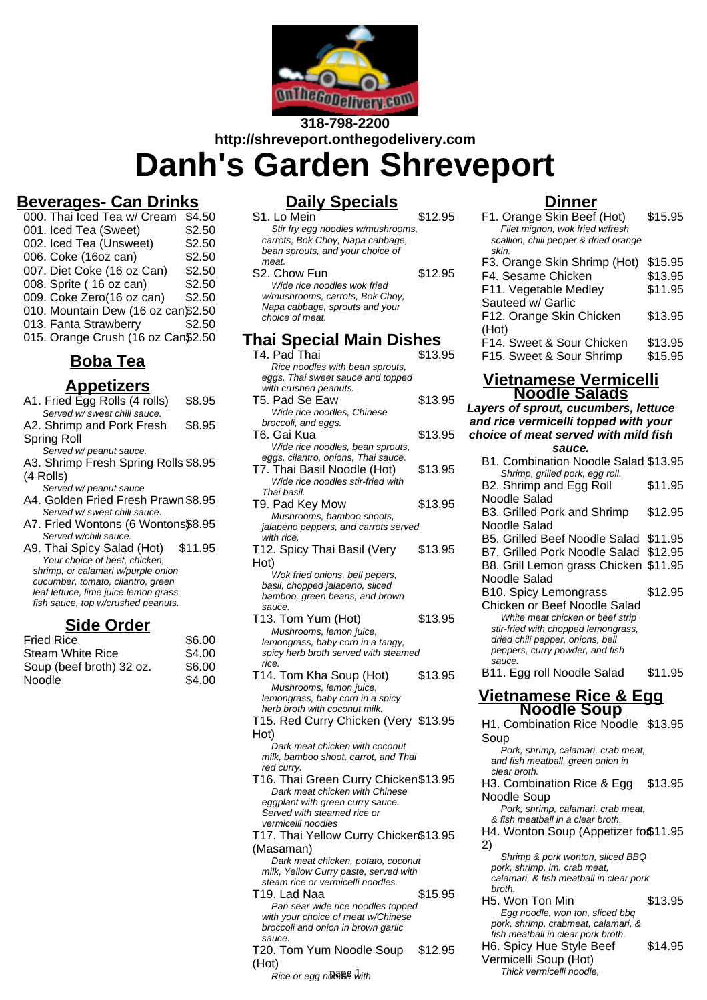

# **318-798-2200 http://shreveport.onthegodelivery.com Danh's Garden Shreveport**

# **Beverages- Can Drinks**

| 000. Thai Iced Tea w/ Cream        | \$4.50 |
|------------------------------------|--------|
| 001. Iced Tea (Sweet)              | \$2.50 |
| 002. Iced Tea (Unsweet)            | \$2.50 |
| 006. Coke (16oz can)               | \$2.50 |
| 007. Diet Coke (16 oz Can)         | \$2.50 |
| 008. Sprite (16 oz can)            | \$2.50 |
| 009. Coke Zero(16 oz can)          | \$2.50 |
| 010. Mountain Dew (16 oz can\$2.50 |        |
| 013. Fanta Strawberry              | \$2.50 |
| 015. Orange Crush (16 oz Can\$2.50 |        |

# **Boba Tea**

## **Appetizers**

| A1. Fried Egg Rolls (4 rolls)        | \$8.95  |
|--------------------------------------|---------|
| Served w/ sweet chili sauce.         |         |
| A2. Shrimp and Pork Fresh            | \$8.95  |
| Spring Roll                          |         |
| Served w/ peanut sauce.              |         |
| A3. Shrimp Fresh Spring Rolls \$8.95 |         |
| (4 Rolls)                            |         |
| Served w/ peanut sauce               |         |
| A4. Golden Fried Fresh Prawn \$8.95  |         |
| Served w/ sweet chili sauce.         |         |
| A7. Fried Wontons (6 Wontons\$8.95   |         |
| Served w/chili sauce.                |         |
| A9. Thai Spicy Salad (Hot)           | \$11.95 |
| Your choice of beef, chicken,        |         |
| shrimp, or calamari w/purple onion   |         |
| cucumber, tomato, cilantro, green    |         |
| leaf lettuce, lime juice lemon grass |         |
| fish sauce, top w/crushed peanuts.   |         |
|                                      |         |

### **Side Order**

| <b>Fried Rice</b>        | \$6.00 |
|--------------------------|--------|
| <b>Steam White Rice</b>  | \$4.00 |
| Soup (beef broth) 32 oz. | \$6.00 |
| Noodle                   | \$4.00 |
|                          |        |

# **Daily Specials**

| S1. Lo Mein                                                                                               | \$12.95 |
|-----------------------------------------------------------------------------------------------------------|---------|
| Stir fry egg noodles w/mushrooms,<br>carrots, Bok Choy, Napa cabbage,<br>bean sprouts, and your choice of |         |
| meat                                                                                                      |         |
| S <sub>2</sub> . Chow Fun                                                                                 | \$12.95 |
| Wide rice noodles wok fried                                                                               |         |
| w/mushrooms, carrots, Bok Choy,                                                                           |         |
| Napa cabbage, sprouts and your<br>choice of meat.                                                         |         |
|                                                                                                           |         |
| ni Cnooial Main Diel                                                                                      |         |

## **Thai Special Main Dishes**

| T4. Pad Thai<br>Rice noodles with bean sprouts,            | \$13.95 |
|------------------------------------------------------------|---------|
| eggs, Thai sweet sauce and topped<br>with crushed peanuts. |         |
| T5. Pad Se Eaw                                             | \$13.95 |
|                                                            |         |
| Wide rice noodles, Chinese                                 |         |
| broccoli, and eggs.                                        |         |
| T6. Gai Kua                                                | \$13.95 |
| Wide rice noodles, bean sprouts,                           |         |
| eggs, cilantro, onions, Thai sauce.                        |         |
| T7. Thai Basil Noodle (Hot)                                | \$13.95 |
| Wide rice noodles stir-fried with                          |         |
| Thai basil.                                                |         |
| T9. Pad Key Mow                                            | \$13.95 |
| Mushrooms, bamboo shoots,                                  |         |
| jalapeno peppers, and carrots served                       |         |
| with rice.                                                 |         |
| T12. Spicy Thai Basil (Very                                | \$13.95 |
|                                                            |         |
| Hot)                                                       |         |
| Wok fried onions, bell pepers,                             |         |
| basil, chopped jalapeno, sliced                            |         |
| bamboo, green beans, and brown                             |         |
| sauce.                                                     |         |
| T13. Tom Yum (Hot)                                         | \$13.95 |
| Mushrooms, lemon juice,                                    |         |
| lemongrass, baby corn in a tangy,                          |         |
| spicy herb broth served with steamed                       |         |
| rice.                                                      |         |
| T14. Tom Kha Soup (Hot)                                    | \$13.95 |
| Mushrooms, lemon juice,                                    |         |
| lemongrass, baby corn in a spicy                           |         |
| herb broth with coconut milk.                              |         |
| T15. Red Curry Chicken (Very \$13.95                       |         |
| Hot)                                                       |         |
| Dark meat chicken with coconut                             |         |
| milk, bamboo shoot, carrot, and Thai                       |         |
| red curry.                                                 |         |
| T16. Thai Green Curry Chicken\$13.95                       |         |
| Dark meat chicken with Chinese                             |         |
| eggplant with green curry sauce.                           |         |
| Served with steamed rice or                                |         |
| vermicelli noodles                                         |         |
| T17. Thai Yellow Curry Chicken\$13.95                      |         |
|                                                            |         |
| (Masaman)                                                  |         |
| Dark meat chicken, potato, coconut                         |         |
| milk, Yellow Curry paste, served with                      |         |
| steam rice or vermicelli noodles.                          |         |
| T19. Lad Naa                                               | \$15.95 |
| Pan sear wide rice noodles topped                          |         |
| with your choice of meat w/Chinese                         |         |
| broccoli and onion in brown garlic                         |         |
| sauce.                                                     |         |
|                                                            |         |

#### T20. Tom Yum Noodle Soup (Hot) \$12.95

 $Rice$  or egg ndoale with

### **Dinner**

| F1. Orange Skin Beef (Hot)<br>Filet mignon, wok fried w/fresh | \$15.95 |
|---------------------------------------------------------------|---------|
| scallion, chili pepper & dried orange<br>skin.                |         |
| F3. Orange Skin Shrimp (Hot)                                  | \$15.95 |
| F4. Sesame Chicken                                            | \$13.95 |
| F11. Vegetable Medley                                         | \$11.95 |
| Sauteed w/ Garlic                                             |         |
| F12. Orange Skin Chicken                                      | \$13.95 |
| (Hot)                                                         |         |
| F14. Sweet & Sour Chicken                                     | \$13.95 |
| F15. Sweet & Sour Shrimp                                      | \$15.95 |

### **Vietnamese Vermicelli Noodle Salads**

### **Layers of sprout, cucumbers, lettuce and rice vermicelli topped with your choice of meat served with mild fish**

### **sauce.**

| sauce.                                                                  |         |
|-------------------------------------------------------------------------|---------|
| B1. Combination Noodle Salad \$13.95                                    |         |
| Shrimp, grilled pork, egg roll.                                         |         |
| B2. Shrimp and Egg Roll                                                 | \$11.95 |
| Noodle Salad                                                            |         |
| B3. Grilled Pork and Shrimp                                             | \$12.95 |
| Noodle Salad                                                            |         |
| B5. Grilled Beef Noodle Salad \$11.95                                   |         |
| B7. Grilled Pork Noodle Salad \$12.95                                   |         |
| B8. Grill Lemon grass Chicken \$11.95                                   |         |
|                                                                         |         |
| Noodle Salad                                                            |         |
| B10. Spicy Lemongrass                                                   | \$12.95 |
| Chicken or Beef Noodle Salad                                            |         |
| White meat chicken or beef strip                                        |         |
| stir-fried with chopped lemongrass,                                     |         |
| dried chili pepper, onions, bell<br>peppers, curry powder, and fish     |         |
| sauce.                                                                  |         |
| B11. Egg roll Noodle Salad                                              | \$11.95 |
|                                                                         |         |
|                                                                         |         |
|                                                                         |         |
| <b>Vietnamese Rice &amp; Egg</b>                                        |         |
| <b>Noodle Soup</b>                                                      |         |
| H1. Combination Rice Noodle \$13.95                                     |         |
| Soup                                                                    |         |
| Pork, shrimp, calamari, crab meat,                                      |         |
| and fish meatball, green onion in<br>clear broth.                       |         |
|                                                                         |         |
| H3. Combination Rice & Egg                                              | \$13.95 |
| Noodle Soup                                                             |         |
| Pork, shrimp, calamari, crab meat,                                      |         |
| & fish meatball in a clear broth.                                       |         |
| H4. Wonton Soup (Appetizer fo\$11.95                                    |         |
| 2)                                                                      |         |
| Shrimp & pork wonton, sliced BBQ                                        |         |
| pork, shrimp, im. crab meat,<br>calamari, & fish meatball in clear pork |         |
| broth.                                                                  |         |
| H5. Won Ton Min                                                         | \$13.95 |

- pork, shrimp, crabmeat, calamari, & fish meatball in clear pork broth. H6. Spicy Hue Style Beef \$14.95
- Vermicelli Soup (Hot) Thick vermicelli noodle,